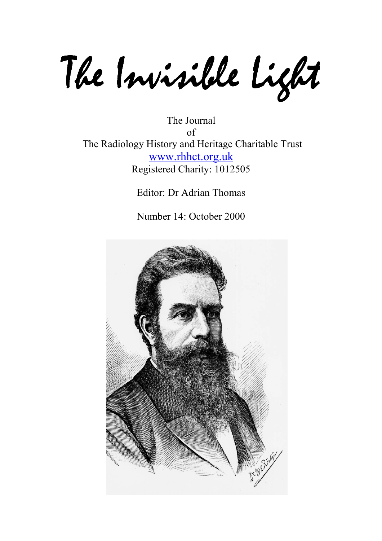The Invisible Light

The Journal of The Radiology History and Heritage Charitable Trust www.rhhct.org.uk Registered Charity: 1012505

Editor: Dr Adrian Thomas

Number 14: October 2000

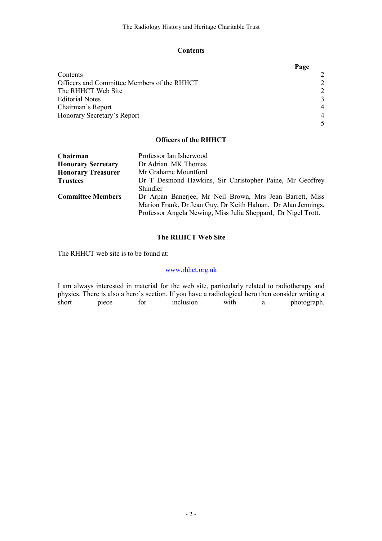## **Contents**

|                                             | Page           |
|---------------------------------------------|----------------|
| Contents                                    |                |
| Officers and Committee Members of the RHHCT |                |
| The RHHCT Web Site                          | $\mathfrak{D}$ |
| <b>Editorial Notes</b>                      | 3              |
| Chairman's Report                           | $\overline{4}$ |
| Honorary Secretary's Report                 |                |
|                                             |                |

# Officers of the RHHCT

| Chairman                  | Professor Ian Isherwood                                       |
|---------------------------|---------------------------------------------------------------|
| <b>Honorary Secretary</b> | Dr Adrian MK Thomas                                           |
| <b>Honorary Treasurer</b> | Mr Grahame Mountford                                          |
| <b>Trustees</b>           | Dr T Desmond Hawkins, Sir Christopher Paine, Mr Geoffrey      |
|                           | Shindler                                                      |
| <b>Committee Members</b>  | Dr Arpan Banerjee, Mr Neil Brown, Mrs Jean Barrett, Miss      |
|                           | Marion Frank, Dr Jean Guy, Dr Keith Halnan, Dr Alan Jennings, |
|                           | Professor Angela Newing, Miss Julia Sheppard, Dr Nigel Trott. |

# The RHHCT Web Site

The RHHCT web site is to be found at:

## www.rhhct.org.uk

I am always interested in material for the web site, particularly related to radiotherapy and physics. There is also a hero's section. If you have a radiological hero then consider writing a short piece for inclusion with a photograph.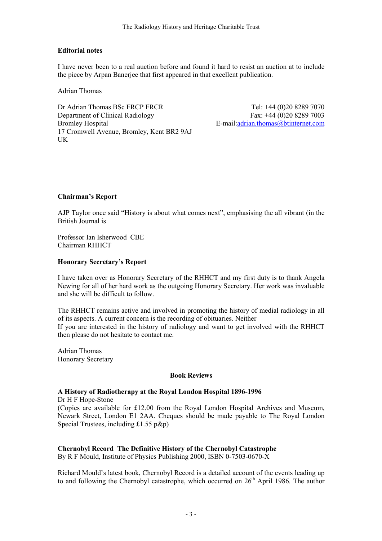## Editorial notes

I have never been to a real auction before and found it hard to resist an auction at to include the piece by Arpan Banerjee that first appeared in that excellent publication.

Adrian Thomas

Dr Adrian Thomas BSc FRCP FRCR Department of Clinical Radiology Bromley Hospital 17 Cromwell Avenue, Bromley, Kent BR2 9AJ UK

Tel: +44 (0)20 8289 7070 Fax: +44 (0)20 8289 7003 E-mail:adrian.thomas@btinternet.com

## Chairman's Report

AJP Taylor once said "History is about what comes next", emphasising the all vibrant (in the British Journal is

Professor Ian Isherwood CBE Chairman RHHCT

## Honorary Secretary's Report

I have taken over as Honorary Secretary of the RHHCT and my first duty is to thank Angela Newing for all of her hard work as the outgoing Honorary Secretary. Her work was invaluable and she will be difficult to follow.

The RHHCT remains active and involved in promoting the history of medial radiology in all of its aspects. A current concern is the recording of obituaries. Neither If you are interested in the history of radiology and want to get involved with the RHHCT then please do not hesitate to contact me.

Adrian Thomas Honorary Secretary

#### Book Reviews

#### A History of Radiotherapy at the Royal London Hospital 1896-1996

Dr H F Hope-Stone (Copies are available for £12.00 from the Royal London Hospital Archives and Museum, Newark Street, London E1 2AA. Cheques should be made payable to The Royal London Special Trustees, including £1.55 p&p)

# Chernobyl Record The Definitive History of the Chernobyl Catastrophe

By R F Mould, Institute of Physics Publishing 2000, ISBN 0-7503-0670-X

Richard Mould's latest book, Chernobyl Record is a detailed account of the events leading up to and following the Chernobyl catastrophe, which occurred on  $26<sup>th</sup>$  April 1986. The author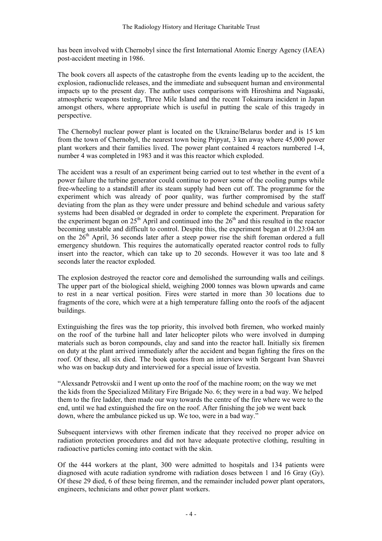has been involved with Chernobyl since the first International Atomic Energy Agency (IAEA) post-accident meeting in 1986.

The book covers all aspects of the catastrophe from the events leading up to the accident, the explosion, radionuclide releases, and the immediate and subsequent human and environmental impacts up to the present day. The author uses comparisons with Hiroshima and Nagasaki, atmospheric weapons testing, Three Mile Island and the recent Tokaimura incident in Japan amongst others, where appropriate which is useful in putting the scale of this tragedy in perspective.

The Chernobyl nuclear power plant is located on the Ukraine/Belarus border and is 15 km from the town of Chernobyl, the nearest town being Pripyat, 3 km away where 45,000 power plant workers and their families lived. The power plant contained 4 reactors numbered 1-4, number 4 was completed in 1983 and it was this reactor which exploded.

The accident was a result of an experiment being carried out to test whether in the event of a power failure the turbine generator could continue to power some of the cooling pumps while free-wheeling to a standstill after its steam supply had been cut off. The programme for the experiment which was already of poor quality, was further compromised by the staff deviating from the plan as they were under pressure and behind schedule and various safety systems had been disabled or degraded in order to complete the experiment. Preparation for the experiment began on  $25<sup>th</sup>$  April and continued into the  $26<sup>th</sup>$  and this resulted in the reactor becoming unstable and difficult to control. Despite this, the experiment began at 01.23:04 am on the  $26<sup>th</sup>$  April, 36 seconds later after a steep power rise the shift foreman ordered a full emergency shutdown. This requires the automatically operated reactor control rods to fully insert into the reactor, which can take up to 20 seconds. However it was too late and 8 seconds later the reactor exploded.

The explosion destroyed the reactor core and demolished the surrounding walls and ceilings. The upper part of the biological shield, weighing 2000 tonnes was blown upwards and came to rest in a near vertical position. Fires were started in more than 30 locations due to fragments of the core, which were at a high temperature falling onto the roofs of the adjacent buildings.

Extinguishing the fires was the top priority, this involved both firemen, who worked mainly on the roof of the turbine hall and later helicopter pilots who were involved in dumping materials such as boron compounds, clay and sand into the reactor hall. Initially six firemen on duty at the plant arrived immediately after the accident and began fighting the fires on the roof. Of these, all six died. The book quotes from an interview with Sergeant Ivan Shavrei who was on backup duty and interviewed for a special issue of Izvestia.

"Alexsandr Petrovskii and I went up onto the roof of the machine room; on the way we met the kids from the Specialized Military Fire Brigade No. 6; they were in a bad way. We helped them to the fire ladder, then made our way towards the centre of the fire where we were to the end, until we had extinguished the fire on the roof. After finishing the job we went back down, where the ambulance picked us up. We too, were in a bad way."

Subsequent interviews with other firemen indicate that they received no proper advice on radiation protection procedures and did not have adequate protective clothing, resulting in radioactive particles coming into contact with the skin.

Of the 444 workers at the plant, 300 were admitted to hospitals and 134 patients were diagnosed with acute radiation syndrome with radiation doses between 1 and 16 Gray (Gy). Of these 29 died, 6 of these being firemen, and the remainder included power plant operators, engineers, technicians and other power plant workers.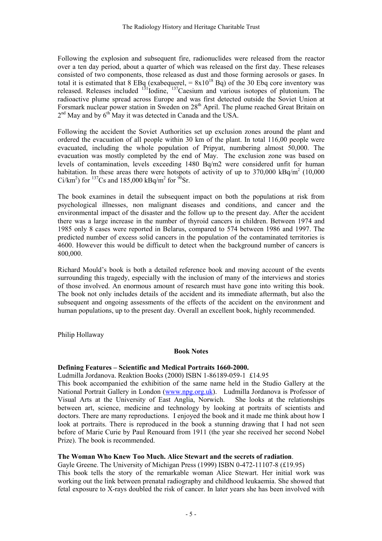Following the explosion and subsequent fire, radionuclides were released from the reactor over a ten day period, about a quarter of which was released on the first day. These releases consisted of two components, those released as dust and those forming aerosols or gases. In total it is estimated that 8 EBq (exabequerel,  $= 8x10^{18}$  Bq) of the 30 Ebq core inventory was released. Releases included  $131$ Iodine,  $137$ Caesium and various isotopes of plutonium. The radioactive plume spread across Europe and was first detected outside the Soviet Union at Forsmark nuclear power station in Sweden on 28<sup>th</sup> April. The plume reached Great Britain on  $2<sup>nd</sup>$  May and by  $6<sup>th</sup>$  May it was detected in Canada and the USA.

Following the accident the Soviet Authorities set up exclusion zones around the plant and ordered the evacuation of all people within 30 km of the plant. In total 116,00 people were evacuated, including the whole population of Pripyat, numbering almost 50,000. The evacuation was mostly completed by the end of May. The exclusion zone was based on levels of contamination, levels exceeding 1480 Bq/m2 were considered unfit for human habitation. In these areas there were hotspots of activity of up to  $370,000 \text{ kBq/m}^2$  (10,000 Ci/km<sup>2</sup>) for <sup>137</sup>Cs and 185,000 kBq/m<sup>2</sup> for <sup>90</sup>Sr.

The book examines in detail the subsequent impact on both the populations at risk from psychological illnesses, non malignant diseases and conditions, and cancer and the environmental impact of the disaster and the follow up to the present day. After the accident there was a large increase in the number of thyroid cancers in children. Between 1974 and 1985 only 8 cases were reported in Belarus, compared to 574 between 1986 and 1997. The predicted number of excess solid cancers in the population of the contaminated territories is 4600. However this would be difficult to detect when the background number of cancers is 800,000.

Richard Mould's book is both a detailed reference book and moving account of the events surrounding this tragedy, especially with the inclusion of many of the interviews and stories of those involved. An enormous amount of research must have gone into writing this book. The book not only includes details of the accident and its immediate aftermath, but also the subsequent and ongoing assessments of the effects of the accident on the environment and human populations, up to the present day. Overall an excellent book, highly recommended.

Philip Hollaway

#### **Book Notes**

#### Defining Features – Scientific and Medical Portraits 1660-2000.

Ludmilla Jordanova. Reaktion Books (2000) ISBN 1-86189-059-1 £14.95

This book accompanied the exhibition of the same name held in the Studio Gallery at the National Portrait Gallery in London (www.npg.org.uk). Ludmilla Jordanova is Professor of Visual Arts at the University of East Anglia, Norwich. She looks at the relationships Visual Arts at the University of East Anglia, Norwich. between art, science, medicine and technology by looking at portraits of scientists and doctors. There are many reproductions. I enjoyed the book and it made me think about how I look at portraits. There is reproduced in the book a stunning drawing that I had not seen before of Marie Curie by Paul Renouard from 1911 (the year she received her second Nobel Prize). The book is recommended.

#### The Woman Who Knew Too Much. Alice Stewart and the secrets of radiation.

Gayle Greene. The University of Michigan Press (1999) ISBN 0-472-11107-8 (£19.95) This book tells the story of the remarkable woman Alice Stewart. Her initial work was working out the link between prenatal radiography and childhood leukaemia. She showed that fetal exposure to X-rays doubled the risk of cancer. In later years she has been involved with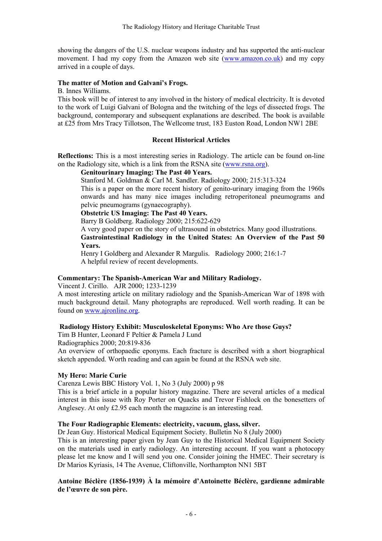showing the dangers of the U.S. nuclear weapons industry and has supported the anti-nuclear movement. I had my copy from the Amazon web site (www.amazon.co.uk) and my copy arrived in a couple of days.

#### The matter of Motion and Galvani's Frogs.

B. Innes Williams.

This book will be of interest to any involved in the history of medical electricity. It is devoted to the work of Luigi Galvani of Bologna and the twitching of the legs of dissected frogs. The background, contemporary and subsequent explanations are described. The book is available at £25 from Mrs Tracy Tillotson, The Wellcome trust, 183 Euston Road, London NW1 2BE

#### Recent Historical Articles

Reflections: This is a most interesting series in Radiology. The article can be found on-line on the Radiology site, which is a link from the RSNA site (www.rsna.org).

#### Genitourinary Imaging: The Past 40 Years.

Stanford M. Goldman & Carl M. Sandler. Radiology 2000; 215:313-324

This is a paper on the more recent history of genito-urinary imaging from the 1960s onwards and has many nice images including retroperitoneal pneumograms and pelvic pneumograms (gynaecography).

Obstetric US Imaging: The Past 40 Years.

Barry B Goldberg. Radiology 2000; 215:622-629

A very good paper on the story of ultrasound in obstetrics. Many good illustrations.

Gastrointestinal Radiology in the United States: An Overview of the Past 50 Years.

Henry I Goldberg and Alexander R Margulis. Radiology 2000; 216:1-7 A helpful review of recent developments.

#### Commentary: The Spanish-American War and Military Radiology.

Vincent J. Cirillo. AJR 2000; 1233-1239

A most interesting article on military radiology and the Spanish-American War of 1898 with much background detail. Many photographs are reproduced. Well worth reading. It can be found on www.ajronline.org.

#### Radiology History Exhibit: Musculoskeletal Eponyms: Who Are those Guys?

Tim B Hunter, Leonard F Peltier & Pamela J Lund

Radiographics 2000; 20:819-836

An overview of orthopaedic eponyms. Each fracture is described with a short biographical sketch appended. Worth reading and can again be found at the RSNA web site.

#### My Hero: Marie Curie

Carenza Lewis BBC History Vol. 1, No 3 (July 2000) p 98

This is a brief article in a popular history magazine. There are several articles of a medical interest in this issue with Roy Porter on Quacks and Trevor Fishlock on the bonesetters of Anglesey. At only £2.95 each month the magazine is an interesting read.

## The Four Radiographic Elements: electricity, vacuum, glass, silver.

Dr Jean Guy. Historical Medical Equipment Society. Bulletin No 8 (July 2000)

This is an interesting paper given by Jean Guy to the Historical Medical Equipment Society on the materials used in early radiology. An interesting account. If you want a photocopy please let me know and I will send you one. Consider joining the HMEC. Their secretary is Dr Marios Kyriasis, 14 The Avenue, Cliftonville, Northampton NN1 5BT

#### Antoine Béclère (1856-1939) À la mémoire d'Antoinette Béclère, gardienne admirable de l'œuvre de son père.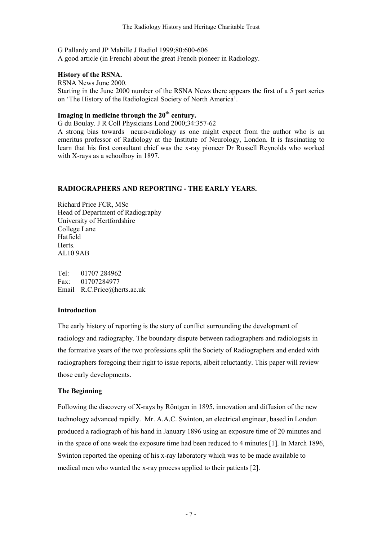G Pallardy and JP Mabille J Radiol 1999;80:600-606 A good article (in French) about the great French pioneer in Radiology.

#### History of the RSNA.

RSNA News June 2000. Starting in the June 2000 number of the RSNA News there appears the first of a 5 part series on 'The History of the Radiological Society of North America'.

# Imaging in medicine through the  $20<sup>th</sup>$  century.

G du Boulay. J R Coll Physicians Lond 2000;34:357-62

A strong bias towards neuro-radiology as one might expect from the author who is an emeritus professor of Radiology at the Institute of Neurology, London. It is fascinating to learn that his first consultant chief was the x-ray pioneer Dr Russell Reynolds who worked with X-rays as a schoolboy in 1897.

# RADIOGRAPHERS AND REPORTING - THE EARLY YEARS.

Richard Price FCR, MSc Head of Department of Radiography University of Hertfordshire College Lane Hatfield **Herts**. AL10 9AB

Tel: 01707 284962 Fax: 01707284977 Email R.C.Price@herts.ac.uk

# Introduction

The early history of reporting is the story of conflict surrounding the development of radiology and radiography. The boundary dispute between radiographers and radiologists in the formative years of the two professions split the Society of Radiographers and ended with radiographers foregoing their right to issue reports, albeit reluctantly. This paper will review those early developments.

# The Beginning

Following the discovery of X-rays by Röntgen in 1895, innovation and diffusion of the new technology advanced rapidly. Mr. A.A.C. Swinton, an electrical engineer, based in London produced a radiograph of his hand in January 1896 using an exposure time of 20 minutes and in the space of one week the exposure time had been reduced to 4 minutes [1]. In March 1896, Swinton reported the opening of his x-ray laboratory which was to be made available to medical men who wanted the x-ray process applied to their patients [2].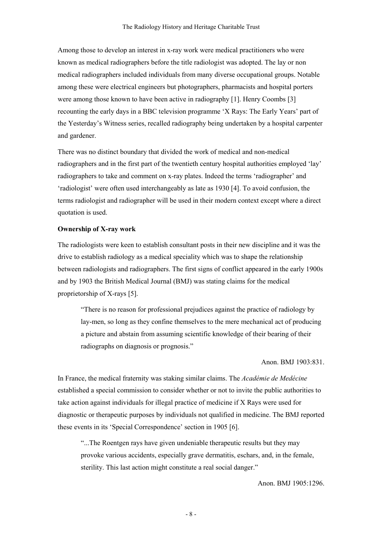Among those to develop an interest in x-ray work were medical practitioners who were known as medical radiographers before the title radiologist was adopted. The lay or non medical radiographers included individuals from many diverse occupational groups. Notable among these were electrical engineers but photographers, pharmacists and hospital porters were among those known to have been active in radiography [1]. Henry Coombs [3] recounting the early days in a BBC television programme 'X Rays: The Early Years' part of the Yesterday's Witness series, recalled radiography being undertaken by a hospital carpenter and gardener.

There was no distinct boundary that divided the work of medical and non-medical radiographers and in the first part of the twentieth century hospital authorities employed 'lay' radiographers to take and comment on x-ray plates. Indeed the terms 'radiographer' and 'radiologist' were often used interchangeably as late as 1930 [4]. To avoid confusion, the terms radiologist and radiographer will be used in their modern context except where a direct quotation is used.

#### Ownership of X-ray work

The radiologists were keen to establish consultant posts in their new discipline and it was the drive to establish radiology as a medical speciality which was to shape the relationship between radiologists and radiographers. The first signs of conflict appeared in the early 1900s and by 1903 the British Medical Journal (BMJ) was stating claims for the medical proprietorship of X-rays [5].

"There is no reason for professional prejudices against the practice of radiology by lay-men, so long as they confine themselves to the mere mechanical act of producing a picture and abstain from assuming scientific knowledge of their bearing of their radiographs on diagnosis or prognosis."

#### Anon. BMJ 1903:831.

In France, the medical fraternity was staking similar claims. The Académie de Medécine established a special commission to consider whether or not to invite the public authorities to take action against individuals for illegal practice of medicine if X Rays were used for diagnostic or therapeutic purposes by individuals not qualified in medicine. The BMJ reported these events in its 'Special Correspondence' section in 1905 [6].

"...The Roentgen rays have given undeniable therapeutic results but they may provoke various accidents, especially grave dermatitis, eschars, and, in the female, sterility. This last action might constitute a real social danger."

Anon. BMJ 1905:1296.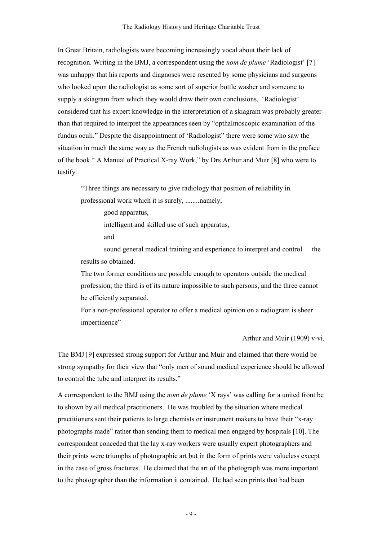In Great Britain, radiologists were becoming increasingly vocal about their lack of recognition. Writing in the BMJ, a correspondent using the nom de plume 'Radiologist' [7] was unhappy that his reports and diagnoses were resented by some physicians and surgeons who looked upon the radiologist as some sort of superior bottle washer and someone to supply a skiagram from which they would draw their own conclusions. 'Radiologist' considered that his expert knowledge in the interpretation of a skiagram was probably greater than that required to interpret the appearances seen by "opthalmoscopic examination of the fundus oculi." Despite the disappointment of 'Radiologist" there were some who saw the situation in much the same way as the French radiologists as was evident from in the preface of the book " A Manual of Practical X-ray Work," by Drs Arthur and Muir [8] who were to testify.

"Three things are necessary to give radiology that position of reliability in professional work which it is surely, ........namely,

good apparatus,

intelligent and skilled use of such apparatus,

and

sound general medical training and experience to interpret and control the results so obtained.

The two former conditions are possible enough to operators outside the medical profession; the third is of its nature impossible to such persons, and the three cannot be efficiently separated.

For a non-professional operator to offer a medical opinion on a radiogram is sheer impertinence"

Arthur and Muir (1909) v-vi.

The BMJ [9] expressed strong support for Arthur and Muir and claimed that there would be strong sympathy for their view that "only men of sound medical experience should be allowed to control the tube and interpret its results."

A correspondent to the BMJ using the nom de plume 'X rays' was calling for a united front be to shown by all medical practitioners. He was troubled by the situation where medical practitioners sent their patients to large chemists or instrument makers to have their "x-ray photographs made" rather than sending them to medical men engaged by hospitals [10]. The correspondent conceded that the lay x-ray workers were usually expert photographers and their prints were triumphs of photographic art but in the form of prints were valueless except in the case of gross fractures. He claimed that the art of the photograph was more important to the photographer than the information it contained. He had seen prints that had been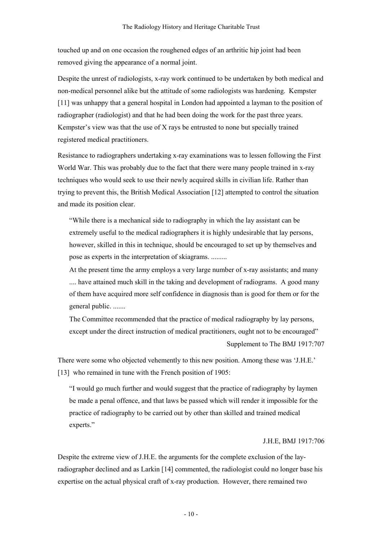touched up and on one occasion the roughened edges of an arthritic hip joint had been removed giving the appearance of a normal joint.

Despite the unrest of radiologists, x-ray work continued to be undertaken by both medical and non-medical personnel alike but the attitude of some radiologists was hardening. Kempster [11] was unhappy that a general hospital in London had appointed a layman to the position of radiographer (radiologist) and that he had been doing the work for the past three years. Kempster's view was that the use of X rays be entrusted to none but specially trained registered medical practitioners.

Resistance to radiographers undertaking x-ray examinations was to lessen following the First World War. This was probably due to the fact that there were many people trained in x-ray techniques who would seek to use their newly acquired skills in civilian life. Rather than trying to prevent this, the British Medical Association [12] attempted to control the situation and made its position clear.

"While there is a mechanical side to radiography in which the lay assistant can be extremely useful to the medical radiographers it is highly undesirable that lay persons, however, skilled in this in technique, should be encouraged to set up by themselves and pose as experts in the interpretation of skiagrams. .........

At the present time the army employs a very large number of x-ray assistants; and many .... have attained much skill in the taking and development of radiograms. A good many of them have acquired more self confidence in diagnosis than is good for them or for the general public. .......

The Committee recommended that the practice of medical radiography by lay persons, except under the direct instruction of medical practitioners, ought not to be encouraged" Supplement to The BMJ 1917:707

There were some who objected vehemently to this new position. Among these was 'J.H.E.' [13] who remained in tune with the French position of 1905:

"I would go much further and would suggest that the practice of radiography by laymen be made a penal offence, and that laws be passed which will render it impossible for the practice of radiography to be carried out by other than skilled and trained medical experts."

#### J.H.E, BMJ 1917:706

Despite the extreme view of J.H.E. the arguments for the complete exclusion of the layradiographer declined and as Larkin [14] commented, the radiologist could no longer base his expertise on the actual physical craft of x-ray production. However, there remained two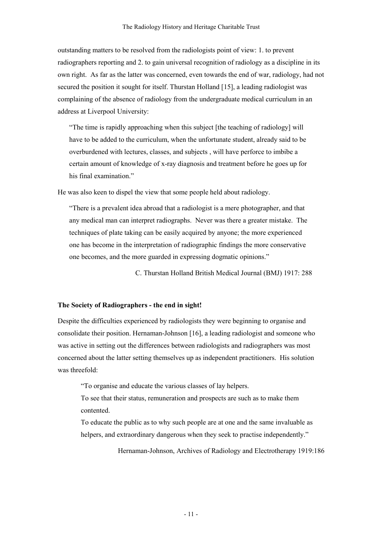outstanding matters to be resolved from the radiologists point of view: 1. to prevent radiographers reporting and 2. to gain universal recognition of radiology as a discipline in its own right. As far as the latter was concerned, even towards the end of war, radiology, had not secured the position it sought for itself. Thurstan Holland [15], a leading radiologist was complaining of the absence of radiology from the undergraduate medical curriculum in an address at Liverpool University:

"The time is rapidly approaching when this subject [the teaching of radiology] will have to be added to the curriculum, when the unfortunate student, already said to be overburdened with lectures, classes, and subjects , will have perforce to imbibe a certain amount of knowledge of x-ray diagnosis and treatment before he goes up for his final examination"

He was also keen to dispel the view that some people held about radiology.

"There is a prevalent idea abroad that a radiologist is a mere photographer, and that any medical man can interpret radiographs. Never was there a greater mistake. The techniques of plate taking can be easily acquired by anyone; the more experienced one has become in the interpretation of radiographic findings the more conservative one becomes, and the more guarded in expressing dogmatic opinions."

C. Thurstan Holland British Medical Journal (BMJ) 1917: 288

#### The Society of Radiographers - the end in sight!

Despite the difficulties experienced by radiologists they were beginning to organise and consolidate their position. Hernaman-Johnson [16], a leading radiologist and someone who was active in setting out the differences between radiologists and radiographers was most concerned about the latter setting themselves up as independent practitioners. His solution was threefold:

"To organise and educate the various classes of lay helpers.

To see that their status, remuneration and prospects are such as to make them contented.

To educate the public as to why such people are at one and the same invaluable as helpers, and extraordinary dangerous when they seek to practise independently."

Hernaman-Johnson, Archives of Radiology and Electrotherapy 1919:186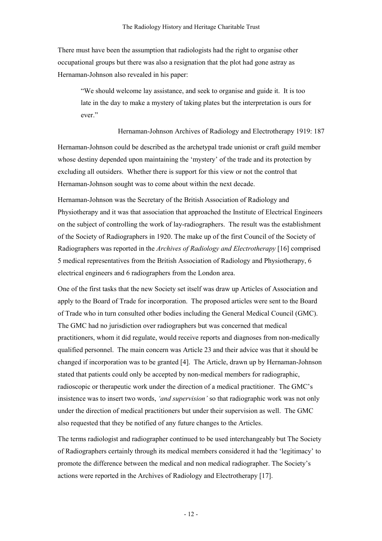There must have been the assumption that radiologists had the right to organise other occupational groups but there was also a resignation that the plot had gone astray as Hernaman-Johnson also revealed in his paper:

"We should welcome lay assistance, and seek to organise and guide it. It is too late in the day to make a mystery of taking plates but the interpretation is ours for ever."

#### Hernaman-Johnson Archives of Radiology and Electrotherapy 1919: 187

Hernaman-Johnson could be described as the archetypal trade unionist or craft guild member whose destiny depended upon maintaining the 'mystery' of the trade and its protection by excluding all outsiders. Whether there is support for this view or not the control that Hernaman-Johnson sought was to come about within the next decade.

Hernaman-Johnson was the Secretary of the British Association of Radiology and Physiotherapy and it was that association that approached the Institute of Electrical Engineers on the subject of controlling the work of lay-radiographers. The result was the establishment of the Society of Radiographers in 1920. The make up of the first Council of the Society of Radiographers was reported in the Archives of Radiology and Electrotherapy [16] comprised 5 medical representatives from the British Association of Radiology and Physiotherapy, 6 electrical engineers and 6 radiographers from the London area.

One of the first tasks that the new Society set itself was draw up Articles of Association and apply to the Board of Trade for incorporation. The proposed articles were sent to the Board of Trade who in turn consulted other bodies including the General Medical Council (GMC). The GMC had no jurisdiction over radiographers but was concerned that medical practitioners, whom it did regulate, would receive reports and diagnoses from non-medically qualified personnel. The main concern was Article 23 and their advice was that it should be changed if incorporation was to be granted [4]. The Article, drawn up by Hernaman-Johnson stated that patients could only be accepted by non-medical members for radiographic, radioscopic or therapeutic work under the direction of a medical practitioner. The GMC's insistence was to insert two words, 'and supervision' so that radiographic work was not only under the direction of medical practitioners but under their supervision as well. The GMC also requested that they be notified of any future changes to the Articles.

The terms radiologist and radiographer continued to be used interchangeably but The Society of Radiographers certainly through its medical members considered it had the 'legitimacy' to promote the difference between the medical and non medical radiographer. The Society's actions were reported in the Archives of Radiology and Electrotherapy [17].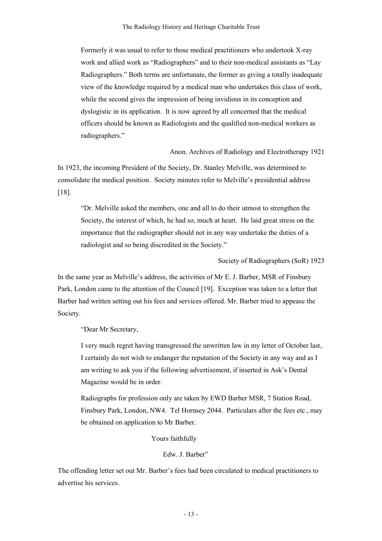Formerly it was usual to refer to those medical practitioners who undertook X-ray work and allied work as "Radiographers" and to their non-medical assistants as "Lay Radiographers." Both terms are unfortunate, the former as giving a totally inadequate view of the knowledge required by a medical man who undertakes this class of work, while the second gives the impression of being invidious in its conception and dyslogistic in its application. It is now agreed by all concerned that the medical officers should be known as Radiologists and the qualified non-medical workers as radiographers."

Anon. Archives of Radiology and Electrotherapy 1921

In 1923, the incoming President of the Society, Dr. Stanley Melville, was determined to consolidate the medical position. Society minutes refer to Melville's presidential address [18].

"Dr. Melville asked the members, one and all to do their utmost to strengthen the Society, the interest of which, he had so, much at heart. He laid great stress on the importance that the radiographer should not in any way undertake the duties of a radiologist and so being discredited in the Society."

#### Society of Radiographers (SoR) 1923

In the same year as Melville's address, the activities of Mr E. J. Barber, MSR of Finsbury Park, London came to the attention of the Council [19]. Exception was taken to a letter that Barber had written setting out his fees and services offered. Mr. Barber tried to appease the Society.

"Dear Mr Secretary,

I very much regret having transgressed the unwritten law in my letter of October last, I certainly do not wish to endanger the reputation of the Society in any way and as I am writing to ask you if the following advertisement, if inserted in Ask's Dental Magazine would be in order.

Radiographs for profession only are taken by EWD Barber MSR, 7 Station Road, Finsbury Park, London, NW4. Tel Hornsey 2044. Particulars after the fees etc., may be obtained on application to Mr Barber.

#### Yours faithfully

## Edw. J. Barber"

The offending letter set out Mr. Barber's fees had been circulated to medical practitioners to advertise his services.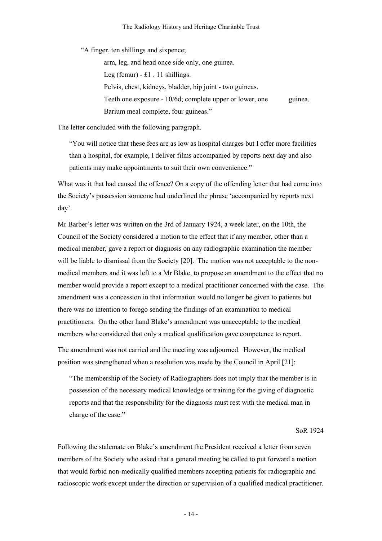"A finger, ten shillings and sixpence;

 arm, leg, and head once side only, one guinea. Leg (femur) -  $\pounds1$ . 11 shillings. Pelvis, chest, kidneys, bladder, hip joint - two guineas. Teeth one exposure - 10/6d; complete upper or lower, one guinea. Barium meal complete, four guineas."

The letter concluded with the following paragraph.

"You will notice that these fees are as low as hospital charges but I offer more facilities than a hospital, for example, I deliver films accompanied by reports next day and also patients may make appointments to suit their own convenience."

What was it that had caused the offence? On a copy of the offending letter that had come into the Society's possession someone had underlined the phrase 'accompanied by reports next day'.

Mr Barber's letter was written on the 3rd of January 1924, a week later, on the 10th, the Council of the Society considered a motion to the effect that if any member, other than a medical member, gave a report or diagnosis on any radiographic examination the member will be liable to dismissal from the Society [20]. The motion was not acceptable to the nonmedical members and it was left to a Mr Blake, to propose an amendment to the effect that no member would provide a report except to a medical practitioner concerned with the case. The amendment was a concession in that information would no longer be given to patients but there was no intention to forego sending the findings of an examination to medical practitioners. On the other hand Blake's amendment was unacceptable to the medical members who considered that only a medical qualification gave competence to report.

The amendment was not carried and the meeting was adjourned. However, the medical position was strengthened when a resolution was made by the Council in April [21]:

"The membership of the Society of Radiographers does not imply that the member is in possession of the necessary medical knowledge or training for the giving of diagnostic reports and that the responsibility for the diagnosis must rest with the medical man in charge of the case."

SoR 1924

Following the stalemate on Blake's amendment the President received a letter from seven members of the Society who asked that a general meeting be called to put forward a motion that would forbid non-medically qualified members accepting patients for radiographic and radioscopic work except under the direction or supervision of a qualified medical practitioner.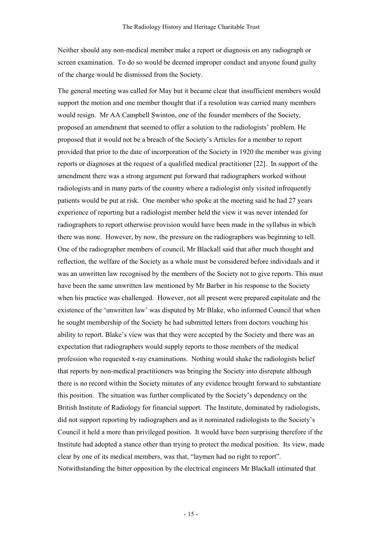Neither should any non-medical member make a report or diagnosis on any radiograph or screen examination. To do so would be deemed improper conduct and anyone found guilty of the charge would be dismissed from the Society.

The general meeting was called for May but it became clear that insufficient members would support the motion and one member thought that if a resolution was carried many members would resign. Mr AA Campbell Swinton, one of the founder members of the Society, proposed an amendment that seemed to offer a solution to the radiologists' problem. He proposed that it would not be a breach of the Society's Articles for a member to report provided that prior to the date of incorporation of the Society in 1920 the member was giving reports or diagnoses at the request of a qualified medical practitioner [22]. In support of the amendment there was a strong argument put forward that radiographers worked without radiologists and in many parts of the country where a radiologist only visited infrequently patients would be put at risk. One member who spoke at the meeting said he had 27 years experience of reporting but a radiologist member held the view it was never intended for radiographers to report otherwise provision would have been made in the syllabus in which there was none. However, by now, the pressure on the radiographers was beginning to tell. One of the radiographer members of council, Mr Blackall said that after much thought and reflection, the welfare of the Society as a whole must be considered before individuals and it was an unwritten law recognised by the members of the Society not to give reports. This must have been the same unwritten law mentioned by Mr Barber in his response to the Society when his practice was challenged. However, not all present were prepared capitulate and the existence of the 'unwritten law' was disputed by Mr Blake, who informed Council that when he sought membership of the Society he had submitted letters from doctors vouching his ability to report. Blake's view was that they were accepted by the Society and there was an expectation that radiographers would supply reports to those members of the medical profession who requested x-ray examinations. Nothing would shake the radiologists belief that reports by non-medical practitioners was bringing the Society into disrepute although there is no record within the Society minutes of any evidence brought forward to substantiate this position. The situation was further complicated by the Society's dependency on the British Institute of Radiology for financial support. The Institute, dominated by radiologists, did not support reporting by radiographers and as it nominated radiologists to the Society's Council it held a more than privileged position. It would have been surprising therefore if the Institute had adopted a stance other than trying to protect the medical position. Its view, made clear by one of its medical members, was that, "laymen had no right to report". Notwithstanding the bitter opposition by the electrical engineers Mr Blackall intimated that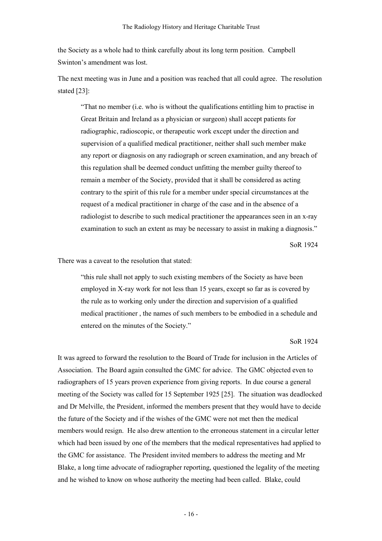the Society as a whole had to think carefully about its long term position. Campbell Swinton's amendment was lost.

The next meeting was in June and a position was reached that all could agree. The resolution stated [23]:

"That no member (i.e. who is without the qualifications entitling him to practise in Great Britain and Ireland as a physician or surgeon) shall accept patients for radiographic, radioscopic, or therapeutic work except under the direction and supervision of a qualified medical practitioner, neither shall such member make any report or diagnosis on any radiograph or screen examination, and any breach of this regulation shall be deemed conduct unfitting the member guilty thereof to remain a member of the Society, provided that it shall be considered as acting contrary to the spirit of this rule for a member under special circumstances at the request of a medical practitioner in charge of the case and in the absence of a radiologist to describe to such medical practitioner the appearances seen in an x-ray examination to such an extent as may be necessary to assist in making a diagnosis."

SoR 1924

There was a caveat to the resolution that stated:

"this rule shall not apply to such existing members of the Society as have been employed in X-ray work for not less than 15 years, except so far as is covered by the rule as to working only under the direction and supervision of a qualified medical practitioner , the names of such members to be embodied in a schedule and entered on the minutes of the Society."

#### SoR 1924

It was agreed to forward the resolution to the Board of Trade for inclusion in the Articles of Association. The Board again consulted the GMC for advice. The GMC objected even to radiographers of 15 years proven experience from giving reports. In due course a general meeting of the Society was called for 15 September 1925 [25]. The situation was deadlocked and Dr Melville, the President, informed the members present that they would have to decide the future of the Society and if the wishes of the GMC were not met then the medical members would resign. He also drew attention to the erroneous statement in a circular letter which had been issued by one of the members that the medical representatives had applied to the GMC for assistance. The President invited members to address the meeting and Mr Blake, a long time advocate of radiographer reporting, questioned the legality of the meeting and he wished to know on whose authority the meeting had been called. Blake, could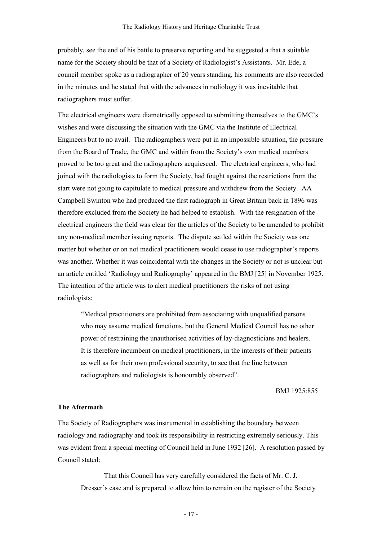probably, see the end of his battle to preserve reporting and he suggested a that a suitable name for the Society should be that of a Society of Radiologist's Assistants. Mr. Ede, a council member spoke as a radiographer of 20 years standing, his comments are also recorded in the minutes and he stated that with the advances in radiology it was inevitable that radiographers must suffer.

The electrical engineers were diametrically opposed to submitting themselves to the GMC's wishes and were discussing the situation with the GMC via the Institute of Electrical Engineers but to no avail. The radiographers were put in an impossible situation, the pressure from the Board of Trade, the GMC and within from the Society's own medical members proved to be too great and the radiographers acquiesced. The electrical engineers, who had joined with the radiologists to form the Society, had fought against the restrictions from the start were not going to capitulate to medical pressure and withdrew from the Society. AA Campbell Swinton who had produced the first radiograph in Great Britain back in 1896 was therefore excluded from the Society he had helped to establish. With the resignation of the electrical engineers the field was clear for the articles of the Society to be amended to prohibit any non-medical member issuing reports. The dispute settled within the Society was one matter but whether or on not medical practitioners would cease to use radiographer's reports was another. Whether it was coincidental with the changes in the Society or not is unclear but an article entitled 'Radiology and Radiography' appeared in the BMJ [25] in November 1925. The intention of the article was to alert medical practitioners the risks of not using radiologists:

"Medical practitioners are prohibited from associating with unqualified persons who may assume medical functions, but the General Medical Council has no other power of restraining the unauthorised activities of lay-diagnosticians and healers. It is therefore incumbent on medical practitioners, in the interests of their patients as well as for their own professional security, to see that the line between radiographers and radiologists is honourably observed".

BMJ 1925:855

## The Aftermath

The Society of Radiographers was instrumental in establishing the boundary between radiology and radiography and took its responsibility in restricting extremely seriously. This was evident from a special meeting of Council held in June 1932 [26]. A resolution passed by Council stated:

 That this Council has very carefully considered the facts of Mr. C. J. Dresser's case and is prepared to allow him to remain on the register of the Society

- 17 -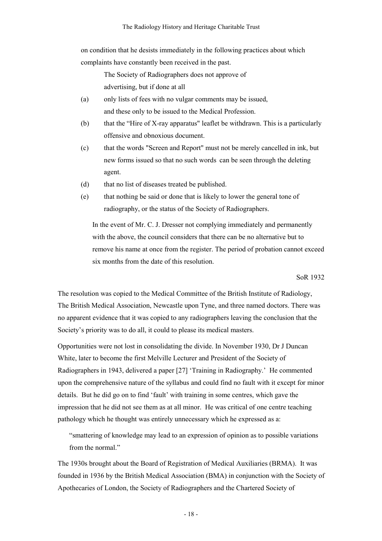on condition that he desists immediately in the following practices about which complaints have constantly been received in the past.

> The Society of Radiographers does not approve of advertising, but if done at all

- (a) only lists of fees with no vulgar comments may be issued, and these only to be issued to the Medical Profession.
- (b) that the "Hire of X-ray apparatus" leaflet be withdrawn. This is a particularly offensive and obnoxious document.
- (c) that the words "Screen and Report" must not be merely cancelled in ink, but new forms issued so that no such words can be seen through the deleting agent.
- (d) that no list of diseases treated be published.
- (e) that nothing be said or done that is likely to lower the general tone of radiography, or the status of the Society of Radiographers.

In the event of Mr. C. J. Dresser not complying immediately and permanently with the above, the council considers that there can be no alternative but to remove his name at once from the register. The period of probation cannot exceed six months from the date of this resolution.

SoR 1932

The resolution was copied to the Medical Committee of the British Institute of Radiology, The British Medical Association, Newcastle upon Tyne, and three named doctors. There was no apparent evidence that it was copied to any radiographers leaving the conclusion that the Society's priority was to do all, it could to please its medical masters.

Opportunities were not lost in consolidating the divide. In November 1930, Dr J Duncan White, later to become the first Melville Lecturer and President of the Society of Radiographers in 1943, delivered a paper [27] 'Training in Radiography.' He commented upon the comprehensive nature of the syllabus and could find no fault with it except for minor details. But he did go on to find 'fault' with training in some centres, which gave the impression that he did not see them as at all minor. He was critical of one centre teaching pathology which he thought was entirely unnecessary which he expressed as a:

"smattering of knowledge may lead to an expression of opinion as to possible variations from the normal."

The 1930s brought about the Board of Registration of Medical Auxiliaries (BRMA). It was founded in 1936 by the British Medical Association (BMA) in conjunction with the Society of Apothecaries of London, the Society of Radiographers and the Chartered Society of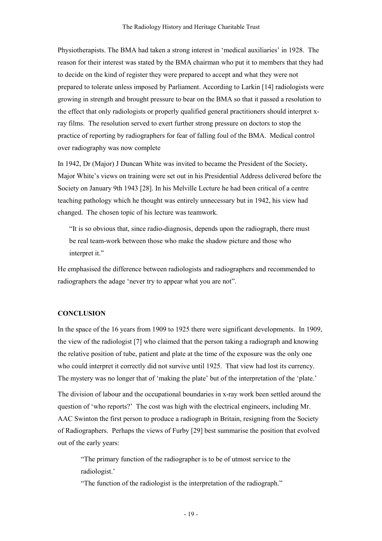Physiotherapists. The BMA had taken a strong interest in 'medical auxiliaries' in 1928. The reason for their interest was stated by the BMA chairman who put it to members that they had to decide on the kind of register they were prepared to accept and what they were not prepared to tolerate unless imposed by Parliament. According to Larkin [14] radiologists were growing in strength and brought pressure to bear on the BMA so that it passed a resolution to the effect that only radiologists or properly qualified general practitioners should interpret xray films. The resolution served to exert further strong pressure on doctors to stop the practice of reporting by radiographers for fear of falling foul of the BMA. Medical control over radiography was now complete

In 1942, Dr (Major) J Duncan White was invited to became the President of the Society. Major White's views on training were set out in his Presidential Address delivered before the Society on January 9th 1943 [28]. In his Melville Lecture he had been critical of a centre teaching pathology which he thought was entirely unnecessary but in 1942, his view had changed. The chosen topic of his lecture was teamwork.

"It is so obvious that, since radio-diagnosis, depends upon the radiograph, there must be real team-work between those who make the shadow picture and those who interpret it."

He emphasised the difference between radiologists and radiographers and recommended to radiographers the adage 'never try to appear what you are not".

#### **CONCLUSION**

In the space of the 16 years from 1909 to 1925 there were significant developments. In 1909, the view of the radiologist [7] who claimed that the person taking a radiograph and knowing the relative position of tube, patient and plate at the time of the exposure was the only one who could interpret it correctly did not survive until 1925. That view had lost its currency. The mystery was no longer that of 'making the plate' but of the interpretation of the 'plate.'

The division of labour and the occupational boundaries in x-ray work been settled around the question of 'who reports?' The cost was high with the electrical engineers, including Mr. AAC Swinton the first person to produce a radiograph in Britain, resigning from the Society of Radiographers. Perhaps the views of Furby [29] best summarise the position that evolved out of the early years:

"The primary function of the radiographer is to be of utmost service to the radiologist.'

"The function of the radiologist is the interpretation of the radiograph."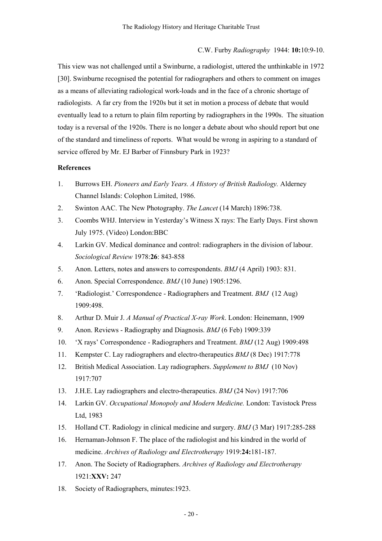#### C.W. Furby Radiography 1944: 10:10:9-10.

This view was not challenged until a Swinburne, a radiologist, uttered the unthinkable in 1972 [30]. Swinburne recognised the potential for radiographers and others to comment on images as a means of alleviating radiological work-loads and in the face of a chronic shortage of radiologists. A far cry from the 1920s but it set in motion a process of debate that would eventually lead to a return to plain film reporting by radiographers in the 1990s. The situation today is a reversal of the 1920s. There is no longer a debate about who should report but one of the standard and timeliness of reports. What would be wrong in aspiring to a standard of service offered by Mr. EJ Barber of Finnsbury Park in 1923?

#### References

- 1. Burrows EH. Pioneers and Early Years. A History of British Radiology. Alderney Channel Islands: Colophon Limited, 1986.
- 2. Swinton AAC. The New Photography. The Lancet (14 March) 1896:738.
- 3. Coombs WHJ. Interview in Yesterday's Witness X rays: The Early Days. First shown July 1975. (Video) London:BBC
- 4. Larkin GV. Medical dominance and control: radiographers in the division of labour. Sociological Review 1978:26: 843-858
- 5. Anon. Letters, notes and answers to correspondents. BMJ (4 April) 1903: 831.
- 6. Anon. Special Correspondence. BMJ (10 June) 1905:1296.
- 7. 'Radiologist.' Correspondence Radiographers and Treatment. BMJ (12 Aug) 1909:498.
- 8. Arthur D. Muir J. A Manual of Practical X-ray Work. London: Heinemann, 1909
- 9. Anon. Reviews Radiography and Diagnosis. BMJ (6 Feb) 1909:339
- 10. 'X rays' Correspondence Radiographers and Treatment. BMJ (12 Aug) 1909:498
- 11. Kempster C. Lay radiographers and electro-therapeutics BMJ (8 Dec) 1917:778
- 12. British Medical Association. Lay radiographers. Supplement to BMJ (10 Nov) 1917:707
- 13. J.H.E. Lay radiographers and electro-therapeutics. BMJ (24 Nov) 1917:706
- 14. Larkin GV. Occupational Monopoly and Modern Medicine. London: Tavistock Press Ltd, 1983
- 15. Holland CT. Radiology in clinical medicine and surgery. BMJ (3 Mar) 1917:285-288
- 16. Hernaman-Johnson F. The place of the radiologist and his kindred in the world of medicine. Archives of Radiology and Electrotherapy 1919:24:181-187.
- 17. Anon. The Society of Radiographers. Archives of Radiology and Electrotherapy 1921:XXV: 247
- 18. Society of Radiographers, minutes:1923.